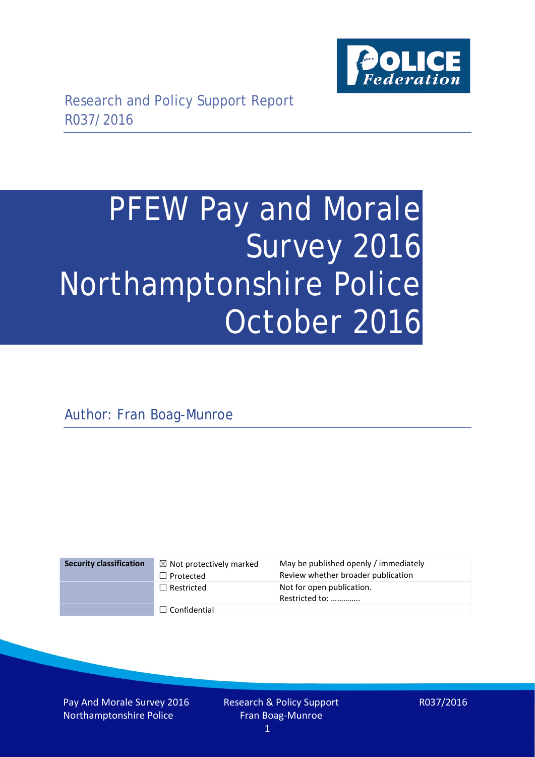

# PFEW Pay and Morale Survey 2016 Northamptonshire Police October 2016

Author: Fran Boag-Munroe

| <b>Security classification</b> | $\boxtimes$ Not protectively marked | May be published openly / immediately       |
|--------------------------------|-------------------------------------|---------------------------------------------|
|                                | $\Box$ Protected                    | Review whether broader publication          |
|                                | $\Box$ Restricted                   | Not for open publication.<br>Restricted to: |
|                                | $\Box$ Confidential                 |                                             |

Pay And Morale Survey 2016 Northamptonshire Police

Research & Policy Support Fran Boag-Munroe

R037/2016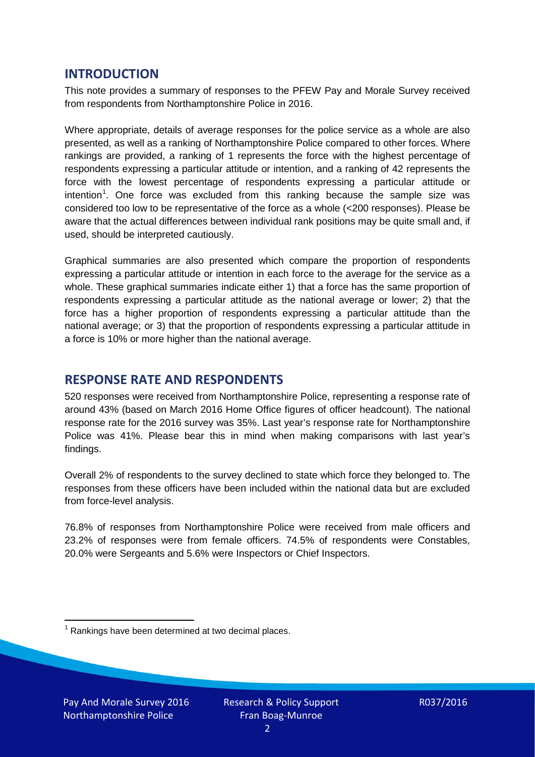## **INTRODUCTION**

This note provides a summary of responses to the PFEW Pay and Morale Survey received from respondents from Northamptonshire Police in 2016.

Where appropriate, details of average responses for the police service as a whole are also presented, as well as a ranking of Northamptonshire Police compared to other forces. Where rankings are provided, a ranking of 1 represents the force with the highest percentage of respondents expressing a particular attitude or intention, and a ranking of 42 represents the force with the lowest percentage of respondents expressing a particular attitude or intention<sup>[1](#page-1-0)</sup>. One force was excluded from this ranking because the sample size was considered too low to be representative of the force as a whole (<200 responses). Please be aware that the actual differences between individual rank positions may be quite small and, if used, should be interpreted cautiously.

Graphical summaries are also presented which compare the proportion of respondents expressing a particular attitude or intention in each force to the average for the service as a whole. These graphical summaries indicate either 1) that a force has the same proportion of respondents expressing a particular attitude as the national average or lower; 2) that the force has a higher proportion of respondents expressing a particular attitude than the national average; or 3) that the proportion of respondents expressing a particular attitude in a force is 10% or more higher than the national average.

## **RESPONSE RATE AND RESPONDENTS**

520 responses were received from Northamptonshire Police, representing a response rate of around 43% (based on March 2016 Home Office figures of officer headcount). The national response rate for the 2016 survey was 35%. Last year's response rate for Northamptonshire Police was 41%. Please bear this in mind when making comparisons with last year's findings.

Overall 2% of respondents to the survey declined to state which force they belonged to. The responses from these officers have been included within the national data but are excluded from force-level analysis.

76.8% of responses from Northamptonshire Police were received from male officers and 23.2% of responses were from female officers. 74.5% of respondents were Constables, 20.0% were Sergeants and 5.6% were Inspectors or Chief Inspectors.

<span id="page-1-0"></span> $1$  Rankings have been determined at two decimal places.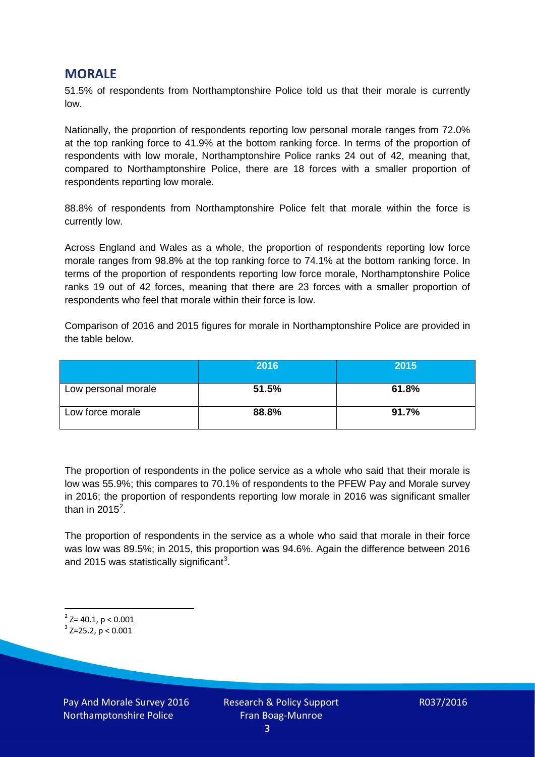### **MORALE**

51.5% of respondents from Northamptonshire Police told us that their morale is currently low.

Nationally, the proportion of respondents reporting low personal morale ranges from 72.0% at the top ranking force to 41.9% at the bottom ranking force. In terms of the proportion of respondents with low morale, Northamptonshire Police ranks 24 out of 42, meaning that, compared to Northamptonshire Police, there are 18 forces with a smaller proportion of respondents reporting low morale.

88.8% of respondents from Northamptonshire Police felt that morale within the force is currently low.

Across England and Wales as a whole, the proportion of respondents reporting low force morale ranges from 98.8% at the top ranking force to 74.1% at the bottom ranking force. In terms of the proportion of respondents reporting low force morale, Northamptonshire Police ranks 19 out of 42 forces, meaning that there are 23 forces with a smaller proportion of respondents who feel that morale within their force is low.

Comparison of 2016 and 2015 figures for morale in Northamptonshire Police are provided in the table below.

|                     | 2016  | 2015  |
|---------------------|-------|-------|
| Low personal morale | 51.5% | 61.8% |
| Low force morale    | 88.8% | 91.7% |

The proportion of respondents in the police service as a whole who said that their morale is low was 55.9%; this compares to 70.1% of respondents to the PFEW Pay and Morale survey in 2016; the proportion of respondents reporting low morale in 2016 was significant smaller than in [2](#page-2-0)015<sup>2</sup>.

The proportion of respondents in the service as a whole who said that morale in their force was low was 89.5%; in 2015, this proportion was 94.6%. Again the difference between 2016 and 2015 was statistically significant<sup>[3](#page-2-1)</sup>.

<span id="page-2-0"></span> $2$ <sup>2</sup> Z= 40.1, p < 0.001

<span id="page-2-1"></span> $3$  Z=25.2, p < 0.001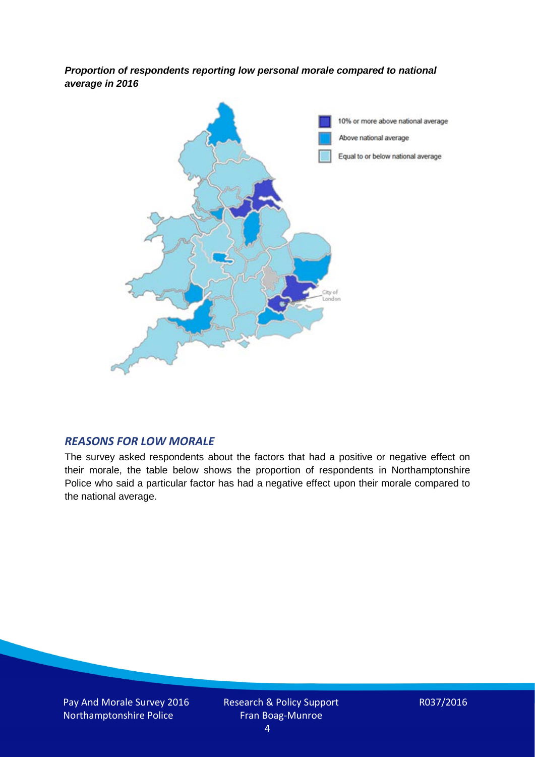*Proportion of respondents reporting low personal morale compared to national average in 2016*



#### *REASONS FOR LOW MORALE*

The survey asked respondents about the factors that had a positive or negative effect on their morale, the table below shows the proportion of respondents in Northamptonshire Police who said a particular factor has had a negative effect upon their morale compared to the national average.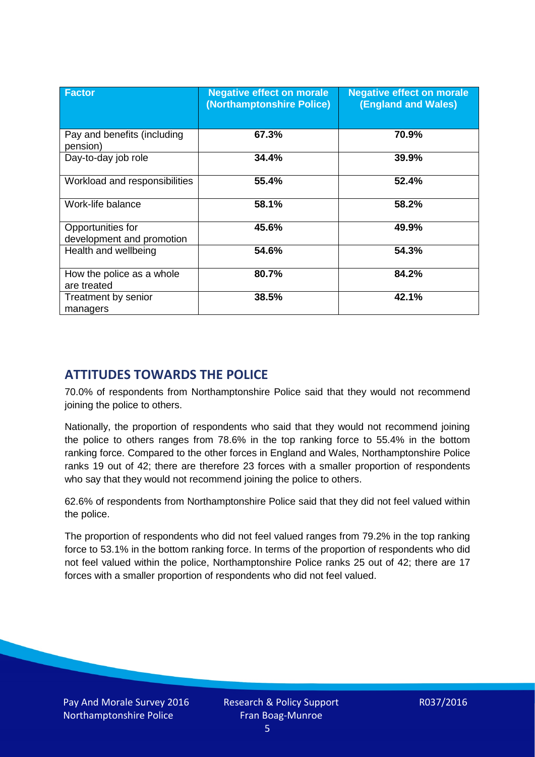| <b>Factor</b>                                  | <b>Negative effect on morale</b><br>(Northamptonshire Police) | <b>Negative effect on morale</b><br><b>(England and Wales)</b> |
|------------------------------------------------|---------------------------------------------------------------|----------------------------------------------------------------|
| Pay and benefits (including<br>pension)        | 67.3%                                                         | 70.9%                                                          |
| Day-to-day job role                            | 34.4%                                                         | 39.9%                                                          |
| Workload and responsibilities                  | 55.4%                                                         | 52.4%                                                          |
| Work-life balance                              | 58.1%                                                         | 58.2%                                                          |
| Opportunities for<br>development and promotion | 45.6%                                                         | 49.9%                                                          |
| Health and wellbeing                           | 54.6%                                                         | 54.3%                                                          |
| How the police as a whole<br>are treated       | 80.7%                                                         | 84.2%                                                          |
| Treatment by senior<br>managers                | 38.5%                                                         | 42.1%                                                          |

# **ATTITUDES TOWARDS THE POLICE**

70.0% of respondents from Northamptonshire Police said that they would not recommend joining the police to others.

Nationally, the proportion of respondents who said that they would not recommend joining the police to others ranges from 78.6% in the top ranking force to 55.4% in the bottom ranking force. Compared to the other forces in England and Wales, Northamptonshire Police ranks 19 out of 42; there are therefore 23 forces with a smaller proportion of respondents who say that they would not recommend joining the police to others.

62.6% of respondents from Northamptonshire Police said that they did not feel valued within the police.

The proportion of respondents who did not feel valued ranges from 79.2% in the top ranking force to 53.1% in the bottom ranking force. In terms of the proportion of respondents who did not feel valued within the police, Northamptonshire Police ranks 25 out of 42; there are 17 forces with a smaller proportion of respondents who did not feel valued.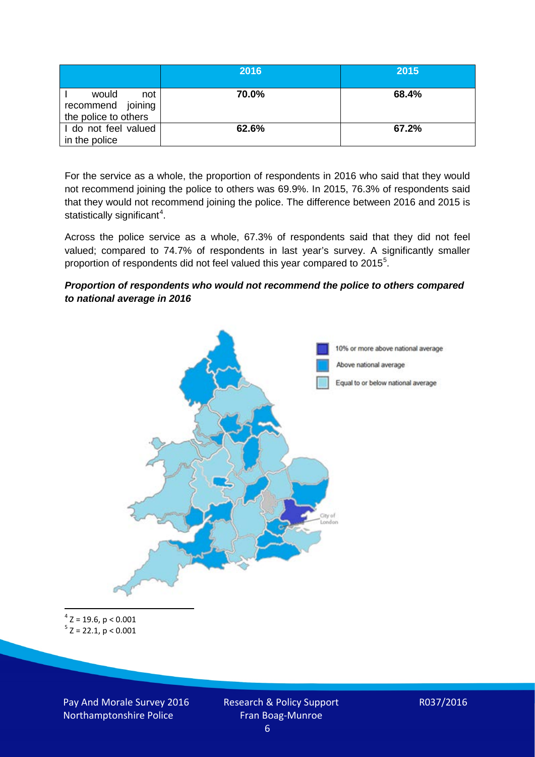|                                                           | 2016  | 2015  |
|-----------------------------------------------------------|-------|-------|
| would<br>not<br>recommend joining<br>the police to others | 70.0% | 68.4% |
| I do not feel valued<br>in the police                     | 62.6% | 67.2% |

For the service as a whole, the proportion of respondents in 2016 who said that they would not recommend joining the police to others was 69.9%. In 2015, 76.3% of respondents said that they would not recommend joining the police. The difference between 2016 and 2015 is statistically significant<sup>[4](#page-5-0)</sup>.

Across the police service as a whole, 67.3% of respondents said that they did not feel valued; compared to 74.7% of respondents in last year's survey. A significantly smaller proportion of respondents did not feel valued this year compared to 201[5](#page-5-1)<sup>5</sup>.

#### *Proportion of respondents who would not recommend the police to others compared to national average in 2016*



<span id="page-5-1"></span><span id="page-5-0"></span> $4$  Z = 19.6, p < 0.001  $5$  Z = 22.1, p < 0.001

Pay And Morale Survey 2016 Northamptonshire Police

Research & Policy Support Fran Boag-Munroe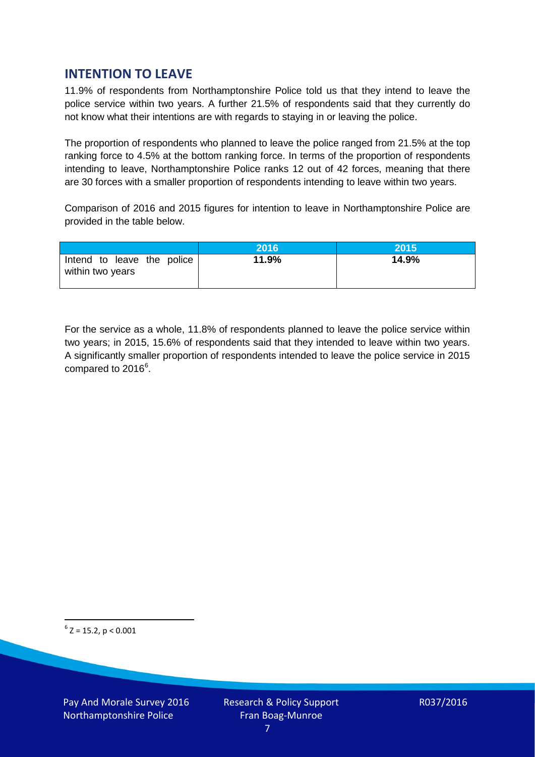## **INTENTION TO LEAVE**

11.9% of respondents from Northamptonshire Police told us that they intend to leave the police service within two years. A further 21.5% of respondents said that they currently do not know what their intentions are with regards to staying in or leaving the police.

The proportion of respondents who planned to leave the police ranged from 21.5% at the top ranking force to 4.5% at the bottom ranking force. In terms of the proportion of respondents intending to leave, Northamptonshire Police ranks 12 out of 42 forces, meaning that there are 30 forces with a smaller proportion of respondents intending to leave within two years.

Comparison of 2016 and 2015 figures for intention to leave in Northamptonshire Police are provided in the table below.

|                                                | 2016  | <b>2015</b> |
|------------------------------------------------|-------|-------------|
| Intend to leave the police<br>within two years | 11.9% | 14.9%       |

For the service as a whole, 11.8% of respondents planned to leave the police service within two years; in 2015, 15.6% of respondents said that they intended to leave within two years. A significantly smaller proportion of respondents intended to leave the police service in 2015 compared to 201[6](#page-6-0)<sup>6</sup>.

<span id="page-6-0"></span> $6$  Z = 15.2, p < 0.001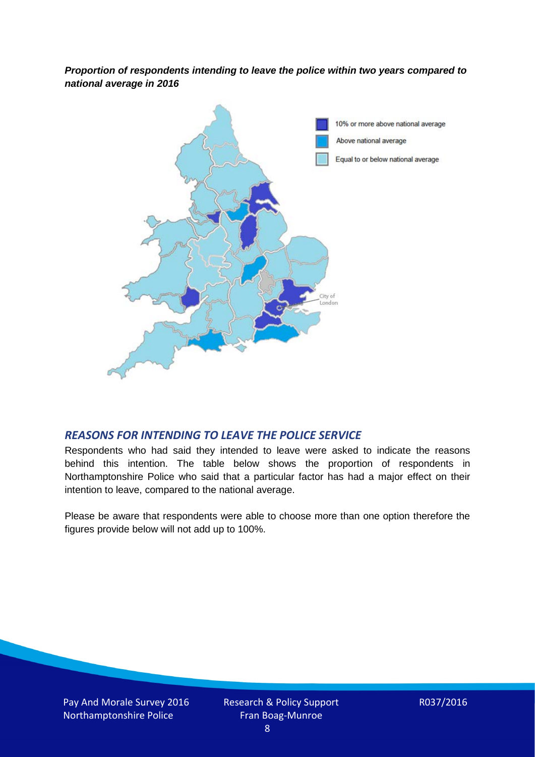*Proportion of respondents intending to leave the police within two years compared to national average in 2016*



#### *REASONS FOR INTENDING TO LEAVE THE POLICE SERVICE*

Respondents who had said they intended to leave were asked to indicate the reasons behind this intention. The table below shows the proportion of respondents in Northamptonshire Police who said that a particular factor has had a major effect on their intention to leave, compared to the national average.

Please be aware that respondents were able to choose more than one option therefore the figures provide below will not add up to 100%.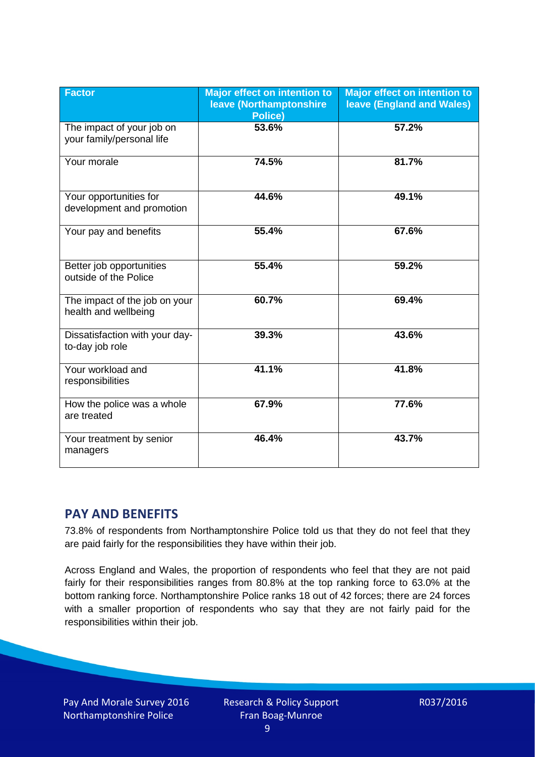| <b>Factor</b>                                          | <b>Major effect on intention to</b><br>leave (Northamptonshire<br><b>Police)</b> | <b>Major effect on intention to</b><br><b>leave (England and Wales)</b> |
|--------------------------------------------------------|----------------------------------------------------------------------------------|-------------------------------------------------------------------------|
| The impact of your job on<br>your family/personal life | 53.6%                                                                            | 57.2%                                                                   |
| Your morale                                            | 74.5%                                                                            | 81.7%                                                                   |
| Your opportunities for<br>development and promotion    | 44.6%                                                                            | 49.1%                                                                   |
| Your pay and benefits                                  | 55.4%                                                                            | 67.6%                                                                   |
| Better job opportunities<br>outside of the Police      | 55.4%                                                                            | 59.2%                                                                   |
| The impact of the job on your<br>health and wellbeing  | 60.7%                                                                            | 69.4%                                                                   |
| Dissatisfaction with your day-<br>to-day job role      | 39.3%                                                                            | 43.6%                                                                   |
| Your workload and<br>responsibilities                  | 41.1%                                                                            | 41.8%                                                                   |
| How the police was a whole<br>are treated              | 67.9%                                                                            | 77.6%                                                                   |
| Your treatment by senior<br>managers                   | 46.4%                                                                            | 43.7%                                                                   |

## **PAY AND BENEFITS**

73.8% of respondents from Northamptonshire Police told us that they do not feel that they are paid fairly for the responsibilities they have within their job.

Across England and Wales, the proportion of respondents who feel that they are not paid fairly for their responsibilities ranges from 80.8% at the top ranking force to 63.0% at the bottom ranking force. Northamptonshire Police ranks 18 out of 42 forces; there are 24 forces with a smaller proportion of respondents who say that they are not fairly paid for the responsibilities within their job.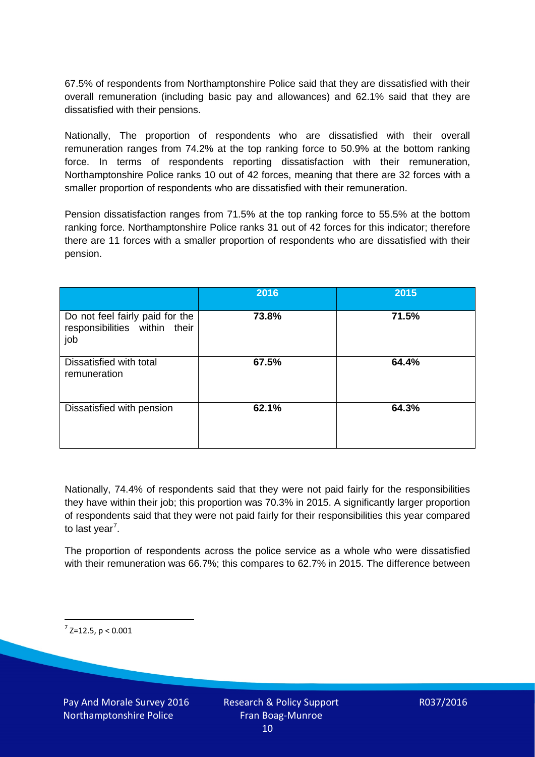67.5% of respondents from Northamptonshire Police said that they are dissatisfied with their overall remuneration (including basic pay and allowances) and 62.1% said that they are dissatisfied with their pensions.

Nationally, The proportion of respondents who are dissatisfied with their overall remuneration ranges from 74.2% at the top ranking force to 50.9% at the bottom ranking force. In terms of respondents reporting dissatisfaction with their remuneration, Northamptonshire Police ranks 10 out of 42 forces, meaning that there are 32 forces with a smaller proportion of respondents who are dissatisfied with their remuneration.

Pension dissatisfaction ranges from 71.5% at the top ranking force to 55.5% at the bottom ranking force. Northamptonshire Police ranks 31 out of 42 forces for this indicator; therefore there are 11 forces with a smaller proportion of respondents who are dissatisfied with their pension.

|                                                                         | 2016  | 2015  |
|-------------------------------------------------------------------------|-------|-------|
| Do not feel fairly paid for the<br>responsibilities within their<br>job | 73.8% | 71.5% |
| Dissatisfied with total<br>remuneration                                 | 67.5% | 64.4% |
| Dissatisfied with pension                                               | 62.1% | 64.3% |

Nationally, 74.4% of respondents said that they were not paid fairly for the responsibilities they have within their job; this proportion was 70.3% in 2015. A significantly larger proportion of respondents said that they were not paid fairly for their responsibilities this year compared to last year<sup>[7](#page-9-0)</sup>.

The proportion of respondents across the police service as a whole who were dissatisfied with their remuneration was 66.7%; this compares to 62.7% in 2015. The difference between

<span id="page-9-0"></span> $7$  Z=12.5, p < 0.001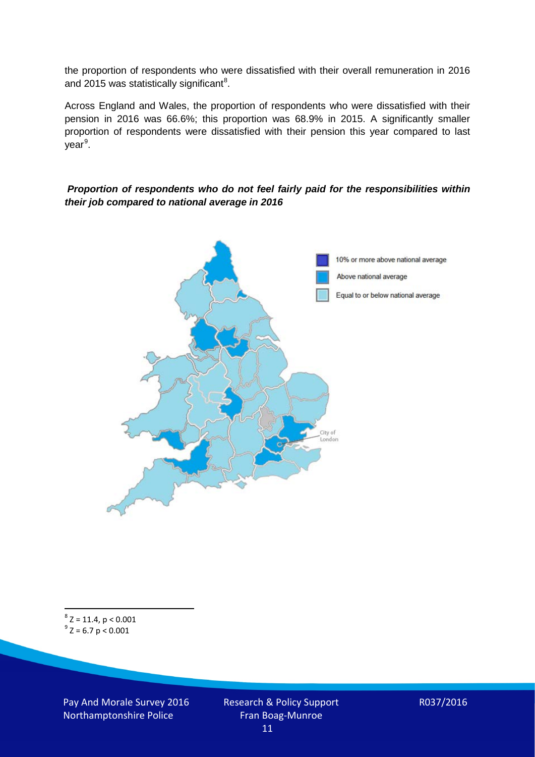the proportion of respondents who were dissatisfied with their overall remuneration in 2016 and 2015 was statistically significant<sup>[8](#page-10-0)</sup>.

Across England and Wales, the proportion of respondents who were dissatisfied with their pension in 2016 was 66.6%; this proportion was 68.9% in 2015. A significantly smaller proportion of respondents were dissatisfied with their pension this year compared to last year<sup>[9](#page-10-1)</sup>.

#### *Proportion of respondents who do not feel fairly paid for the responsibilities within their job compared to national average in 2016*



<span id="page-10-1"></span><span id="page-10-0"></span> $8$  Z = 11.4, p < 0.001  $^{9}$  Z = 6.7 p < 0.001

Pay And Morale Survey 2016 Northamptonshire Police

Research & Policy Support Fran Boag-Munroe 11

R037/2016